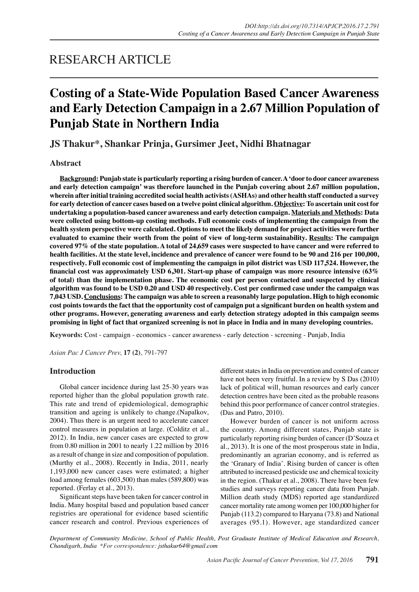## RESEARCH ARTICLE

# **Costing of a State-Wide Population Based Cancer Awareness and Early Detection Campaign in a 2.67 Million Population of Punjab State in Northern India**

**JS Thakur\*, Shankar Prinja, Gursimer Jeet, Nidhi Bhatnagar**

## **Abstract**

**Background: Punjab state is particularly reporting a rising burden of cancer. A 'door to door cancer awareness and early detection campaign' was therefore launched in the Punjab covering about 2.67 million population, wherein after initial training accredited social health activists (ASHAs) and other health staff conducted a survey for early detection of cancer cases based on a twelve point clinical algorithm. Objective: To ascertain unit cost for undertaking a population-based cancer awareness and early detection campaign. Materials and Methods: Data were collected using bottom-up costing methods. Full economic costs of implementing the campaign from the health system perspective were calculated. Options to meet the likely demand for project activities were further evaluated to examine their worth from the point of view of long-term sustainability. Results: The campaign covered 97% of the state population. A total of 24,659 cases were suspected to have cancer and were referred to health facilities. At the state level, incidence and prevalence of cancer were found to be 90 and 216 per 100,000, respectively. Full economic cost of implementing the campaign in pilot district was USD 117,524. However, the financial cost was approximately USD 6,301. Start-up phase of campaign was more resource intensive (63% of total) than the implementation phase. The economic cost per person contacted and suspected by clinical algorithm was found to be USD 0.20 and USD 40 respectively. Cost per confirmed case under the campaign was 7,043 USD. Conclusions: The campaign was able to screen a reasonably large population. High to high economic cost points towards the fact that the opportunity cost of campaign put a significant burden on health system and other programs. However, generating awareness and early detection strategy adopted in this campaign seems promising in light of fact that organized screening is not in place in India and in many developing countries.**

**Keywords:** Cost - campaign - economics - cancer awareness - early detection - screening - Punjab, India

*Asian Pac J Cancer Prev,* **17 (2)**, 791-797

#### **Introduction**

Global cancer incidence during last 25-30 years was reported higher than the global population growth rate. This rate and trend of epidemiological, demographic transition and ageing is unlikely to change.(Napalkov, 2004). Thus there is an urgent need to accelerate cancer control measures in population at large. (Colditz et al., 2012). In India, new cancer cases are expected to grow from 0.80 million in 2001 to nearly 1.22 million by 2016 as a result of change in size and composition of population. (Murthy et al., 2008). Recently in India, 2011, nearly 1,193,000 new cancer cases were estimated; a higher load among females (603,500) than males (589,800) was reported. (Ferlay et al., 2013).

Significant steps have been taken for cancer control in India. Many hospital based and population based cancer registries are operational for evidence based scientific cancer research and control. Previous experiences of

different states in India on prevention and control of cancer have not been very fruitful. In a review by S Das (2010) lack of political will, human resources and early cancer detection centres have been cited as the probable reasons behind this poor performance of cancer control strategies. (Das and Patro, 2010).

However burden of cancer is not uniform across the country. Among different states, Punjab state is particularly reporting rising burden of cancer (D'Souza et al., 2013). It is one of the most prosperous state in India, predominantly an agrarian economy, and is referred as the 'Granary of India'. Rising burden of cancer is often attributed to increased pesticide use and chemical toxicity in the region. (Thakur et al., 2008). There have been few studies and surveys reporting cancer data from Punjab. Million death study (MDS) reported age standardized cancer mortality rate among women per 100,000 higher for Punjab (113.2) compared to Haryana (73.8) and National averages (95.1). However, age standardized cancer

*Department of Community Medicine, School of Public Health, Post Graduate Institute of Medical Education and Research, Chandigarh, India \*For correspondence: jsthakur64@gmail.com*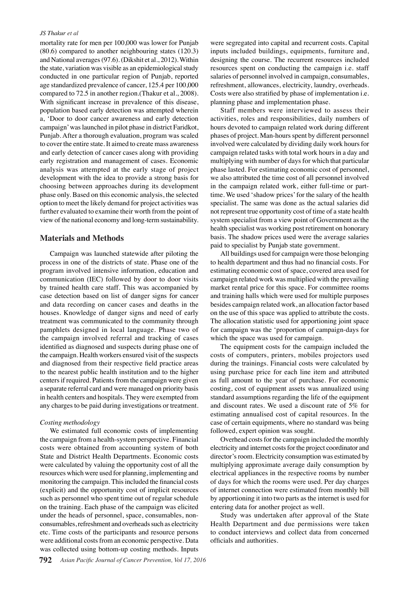#### *JS Thakur et al*

mortality rate for men per 100,000 was lower for Punjab (80.6) compared to another neighbouring states (120.3) and National averages (97.6). (Dikshit et al., 2012). Within the state, variation was visible as an epidemiological study conducted in one particular region of Punjab, reported age standardized prevalence of cancer, 125.4 per 100,000 compared to 72.5 in another region.(Thakur et al., 2008). With significant increase in prevalence of this disease, population based early detection was attempted wherein a, 'Door to door cancer awareness and early detection campaign' was launched in pilot phase in district Faridkot, Punjab. After a thorough evaluation, program was scaled to cover the entire state. It aimed to create mass awareness and early detection of cancer cases along with providing early registration and management of cases. Economic analysis was attempted at the early stage of project development with the idea to provide a strong basis for choosing between approaches during its development phase only. Based on this economic analysis, the selected option to meet the likely demand for project activities was further evaluated to examine their worth from the point of view of the national economy and long-term sustainability.

#### **Materials and Methods**

Campaign was launched statewide after piloting the process in one of the districts of state. Phase one of the program involved intensive information, education and communication (IEC) followed by door to door visits by trained health care staff. This was accompanied by case detection based on list of danger signs for cancer and data recording on cancer cases and deaths in the houses. Knowledge of danger signs and need of early treatment was communicated to the community through pamphlets designed in local language. Phase two of the campaign involved referral and tracking of cases identified as diagnosed and suspects during phase one of the campaign. Health workers ensured visit of the suspects and diagnosed from their respective field practice areas to the nearest public health institution and to the higher centers if required. Patients from the campaign were given a separate referral card and were managed on priority basis in health centers and hospitals. They were exempted from any charges to be paid during investigations or treatment.

#### *Costing methodology*

We estimated full economic costs of implementing the campaign from a health-system perspective. Financial costs were obtained from accounting system of both State and District Health Departments. Economic costs were calculated by valuing the opportunity cost of all the resources which were used for planning, implementing and monitoring the campaign. This included the financial costs (explicit) and the opportunity cost of implicit resources such as personnel who spent time out of regular schedule on the training. Each phase of the campaign was elicited under the heads of personnel, space, consumables, nonconsumables, refreshment and overheads such as electricity etc. Time costs of the participants and resource persons were additional costs from an economic perspective. Data was collected using bottom-up costing methods. Inputs

were segregated into capital and recurrent costs. Capital inputs included buildings, equipments, furniture and, designing the course. The recurrent resources included resources spent on conducting the campaign i.e. staff salaries of personnel involved in campaign, consumables, refreshment, allowances, electricity, laundry, overheads. Costs were also stratified by phase of implementation i.e. planning phase and implementation phase.

Staff members were interviewed to assess their activities, roles and responsibilities, daily numbers of hours devoted to campaign related work during different phases of project. Man-hours spent by different personnel involved were calculated by dividing daily work hours for campaign related tasks with total work hours in a day and multiplying with number of days for which that particular phase lasted. For estimating economic cost of personnel, we also attributed the time cost of all personnel involved in the campaign related work, either full-time or parttime. We used 'shadow prices' for the salary of the health specialist. The same was done as the actual salaries did not represent true opportunity cost of time of a state health system specialist from a view point of Government as the health specialist was working post retirement on honorary basis. The shadow prices used were the average salaries paid to specialist by Punjab state government.

All buildings used for campaign were those belonging to health department and thus had no financial costs. For estimating economic cost of space, covered area used for campaign related work was multiplied with the prevailing market rental price for this space. For committee rooms and training halls which were used for multiple purposes besides campaign related work, an allocation factor based on the use of this space was applied to attribute the costs. The allocation statistic used for apportioning joint space for campaign was the 'proportion of campaign-days for which the space was used for campaign.

The equipment costs for the campaign included the costs of computers, printers, mobiles projectors used during the trainings. Financial costs were calculated by using purchase price for each line item and attributed as full amount to the year of purchase. For economic costing, cost of equipment assets was annualized using standard assumptions regarding the life of the equipment and discount rates. We used a discount rate of 5% for estimating annualised cost of capital resources. In the case of certain equipments, where no standard was being followed, expert opinion was sought.

Overhead costs for the campaign included the monthly electricity and internet costs for the project coordinator and director's room. Electricity consumption was estimated by multiplying approximate average daily consumption by electrical appliances in the respective rooms by number of days for which the rooms were used. Per day charges of internet connection were estimated from monthly bill by apportioning it into two parts as the internet is used for entering data for another project as well.

Study was undertaken after approval of the State Health Department and due permissions were taken to conduct interviews and collect data from concerned officials and authorities.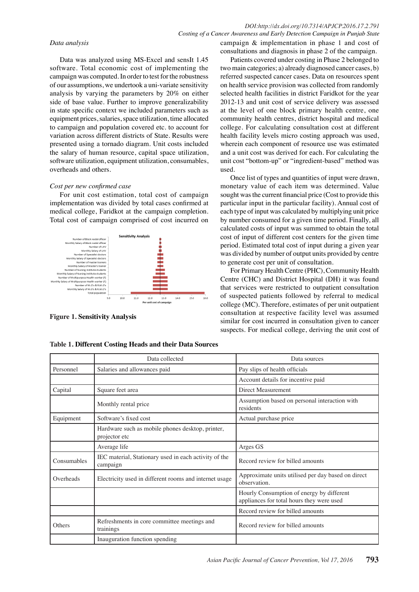#### *DOI:http://dx.doi.org/10.7314/APJCP.2016.17.2.791 Costing of a Cancer Awareness and Early Detection Campaign in Punjab State*

#### *Data analysis*

Data was analyzed using MS-Excel and sensIt 1.45 software. Total economic cost of implementing the campaign was computed. In order to test for the robustness of our assumptions, we undertook a uni-variate sensitivity analysis by varying the parameters by 20% on either side of base value. Further to improve generalizability in state specific context we included parameters such as equipment prices, salaries, space utilization, time allocated to campaign and population covered etc. to account for variation across different districts of State. Results were presented using a tornado diagram. Unit costs included the salary of human resource, capital space utilization, software utilization, equipment utilization, consumables, overheads and others.

#### *Cost per new confirmed case*

For unit cost estimation, total cost of campaign implementation was divided by total cases confirmed at medical college, Faridkot at the campaign completion. Total cost of campaign comprised of cost incurred on



**Figure 1. Sensitivity Analysis**

campaign & implementation in phase 1 and cost of consultations and diagnosis in phase 2 of the campaign.

Patients covered under costing in Phase 2 belonged to two main categories; a) already diagnosed cancer cases, b) referred suspected cancer cases. Data on resources spent on health service provision was collected from randomly selected health facilities in district Faridkot for the year 2012-13 and unit cost of service delivery was assessed at the level of one block primary health centre, one community health centres, district hospital and medical college. For calculating consultation cost at different health facility levels micro costing approach was used, wherein each component of resource use was estimated and a unit cost was derived for each. For calculating the unit cost "bottom-up" or "ingredient-based" method was used.

Once list of types and quantities of input were drawn, monetary value of each item was determined. Value sought was the current financial price (Cost to provide this particular input in the particular facility). Annual cost of each type of input was calculated by multiplying unit price by number consumed for a given time period. Finally, all calculated costs of input was summed to obtain the total cost of input of different cost centers for the given time period. Estimated total cost of input during a given year was divided by number of output units provided by centre to generate cost per unit of consultation.

For Primary Health Centre (PHC), Community Health Centre (CHC) and District Hospital (DH) it was found that services were restricted to outpatient consultation of suspected patients followed by referral to medical college (MC). Therefore, estimates of per unit outpatient consultation at respective facility level was assumed similar for cost incurred in consultation given to cancer suspects. For medical college, deriving the unit cost of

|             | Data collected                                                    | Data sources                                                                           |  |  |
|-------------|-------------------------------------------------------------------|----------------------------------------------------------------------------------------|--|--|
| Personnel   | Salaries and allowances paid                                      | Pay slips of health officials                                                          |  |  |
|             |                                                                   | Account details for incentive paid                                                     |  |  |
| Capital     | Square feet area                                                  | Direct Measurement                                                                     |  |  |
|             | Monthly rental price                                              | Assumption based on personal interaction with<br>residents                             |  |  |
| Equipment   | Software's fixed cost                                             | Actual purchase price                                                                  |  |  |
|             | Hardware such as mobile phones desktop, printer,<br>projector etc |                                                                                        |  |  |
|             | Average life                                                      | Arges GS                                                                               |  |  |
| Consumables | IEC material, Stationary used in each activity of the<br>campaign | Record review for billed amounts                                                       |  |  |
| Overheads   | Electricity used in different rooms and internet usage            | Approximate units utilised per day based on direct<br>observation.                     |  |  |
|             |                                                                   | Hourly Consumption of energy by different<br>appliances for total hours they were used |  |  |
|             |                                                                   | Record review for billed amounts                                                       |  |  |
| Others      | Refreshments in core committee meetings and<br>trainings          | Record review for billed amounts                                                       |  |  |
|             | Inauguration function spending                                    |                                                                                        |  |  |

**Table 1. Different Costing Heads and their Data Sources**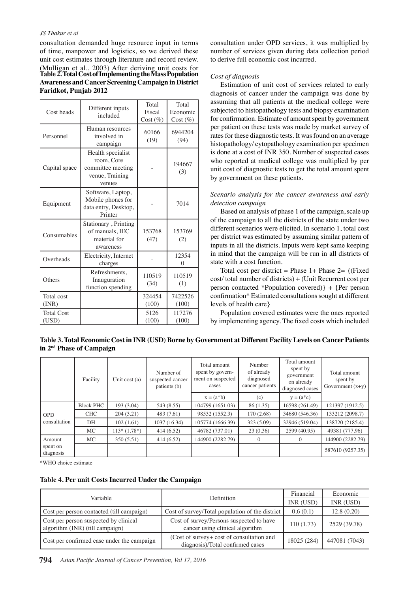#### *JS Thakur et al*

consultation demanded huge resource input in terms of time, manpower and logistics, so we derived these unit cost estimates through literature and record review. (Mulligan et al., 2003) After deriving unit costs for **Table 2. Total Cost of Implementing the Mass Population Awareness and Cancer Screening Campaign in District Faridkot, Punjab 2012**

| Cost heads                 | Different inputs<br>included                                                      | Total<br>Fiscal<br>$Cost (\%)$ | Total<br>Economic<br>Cost (%) |
|----------------------------|-----------------------------------------------------------------------------------|--------------------------------|-------------------------------|
| Personnel                  | Human resources<br>involved in<br>campaign                                        | 60166<br>(19)                  | 6944204<br>(94)               |
| Capital space              | Health specialist<br>room, Core<br>committee meeting<br>venue, Training<br>venues |                                | 194667<br>(3)                 |
| Equipment                  | Software, Laptop,<br>Mobile phones for<br>data entry, Desktop,<br>Printer         |                                | 7014                          |
| Consumables                | Stationary, Printing<br>of manuals, IEC<br>material for<br>awareness              | 153768<br>(47)                 | 153769<br>(2)                 |
| Overheads                  | Electricity, Internet<br>charges                                                  |                                | 12354<br>0                    |
| Others                     | Refreshments,<br>Inauguration<br>function spending                                | 110519<br>(34)                 | 110519<br>(1)                 |
| Total cost<br>(INR)        |                                                                                   | 324454<br>(100)                | 7422526<br>(100)              |
| <b>Total Cost</b><br>(USD) |                                                                                   | 5126<br>(100)                  | 117276<br>(100)               |

consultation under OPD services, it was multiplied by number of services given during data collection period to derive full economic cost incurred.

#### *Cost of diagnosis*

Estimation of unit cost of services related to early diagnosis of cancer under the campaign was done by assuming that all patients at the medical college were subjected to histopathology tests and biopsy examination for confirmation. Estimate of amount spent by government per patient on these tests was made by market survey of rates for these diagnostic tests. It was found on an average histopathology/ cytopathology examination per specimen is done at a cost of INR 350. Number of suspected cases who reported at medical college was multiplied by per unit cost of diagnostic tests to get the total amount spent by government on these patients.

#### *Scenario analysis for the cancer awareness and early detection campaign*

Based on analysis of phase 1 of the campaign, scale up of the campaign to all the districts of the state under two different scenarios were elicited. In scenario 1, total cost per district was estimated by assuming similar pattern of inputs in all the districts. Inputs were kept same keeping in mind that the campaign will be run in all districts of state with a cost function.

Total cost per district = Phase  $1+$  Phase  $2=$  {(Fixed cost/ total number of districts) + (Unit Recurrent cost per person contacted \*Population covered)} + {Per person confirmation\* Estimated consultations sought at different levels of health care}

Population covered estimates were the ones reported by implementing agency. The fixed costs which included

| Table 3. Total Economic Cost in INR (USD) Borne by Government at Different Facility Levels on Cancer Patients |  |
|---------------------------------------------------------------------------------------------------------------|--|
| in 2 <sup>nd</sup> Phase of Campaign                                                                          |  |

|                                 | Facility         | Unit cost (a) | Number of<br>suspected cancer<br>patients (b) | Total amount<br>spent by govern-<br>ment on suspected<br>cases | Number<br>of already<br>diagnosed<br>cancer patients | Total amount<br>spent by<br>government<br>on already<br>diagnosed cases | Total amount<br>spent by<br>Government $(x+y)$ |
|---------------------------------|------------------|---------------|-----------------------------------------------|----------------------------------------------------------------|------------------------------------------------------|-------------------------------------------------------------------------|------------------------------------------------|
|                                 |                  |               |                                               | $x = (a^*b)$                                                   | (c)                                                  | $y = (a * c)$                                                           |                                                |
| <b>OPD</b><br>consultation      | <b>Block PHC</b> | 193 (3.04)    | 543 (8.55)                                    | 104799 (1651.03)                                               | 86 (1.35)                                            | 16598 (261.49)                                                          | 121397 (1912.5)                                |
|                                 | <b>CHC</b>       | 204(3.21)     | 483(7.61)                                     | 98532 (1552.3)                                                 | 170(2.68)                                            | 34680 (546.36)                                                          | 133212 (2098.7)                                |
|                                 | DH               | 102(1.61)     | 1037 (16.34)                                  | 105774 (1666.39)                                               | 323 (5.09)                                           | 32946 (519.04)                                                          | 138720 (2185.4)                                |
|                                 | MC.              | $113*(1.78*)$ | 414(6.52)                                     | 46782 (737.01)                                                 | 23(0.36)                                             | 2599 (40.95)                                                            | 49381 (777.96)                                 |
| Amount<br>spent on<br>diagnosis | MC.              | 350(5.51)     | 414(6.52)                                     | 144900 (2282.79)                                               | $\left($                                             | $\Omega$                                                                | 144900 (2282.79)                               |
|                                 |                  |               |                                               |                                                                |                                                      |                                                                         | 587610 (9257.35)                               |

\*WHO choice estimate

#### **Table 4. Per unit Costs Incurred Under the Campaign**

| Variable                                   | <b>Definition</b>                                                              | Financial   | Economic      |
|--------------------------------------------|--------------------------------------------------------------------------------|-------------|---------------|
|                                            |                                                                                | INR (USD)   | INR (USD)     |
| Cost per person contacted (till campaign)  | Cost of survey/Total population of the district                                | 0.6(0.1)    | 12.8(0.20)    |
| Cost per person suspected by clinical      | Cost of survey/Persons suspected to have                                       | 110(1.73)   | 2529 (39.78)  |
| algorithm (INR) (till campaign)            | cancer using clinical algorithm                                                |             |               |
| Cost per confirmed case under the campaign | (Cost of survey + cost of consultation and<br>diagnosis)/Total confirmed cases | 18025 (284) | 447081 (7043) |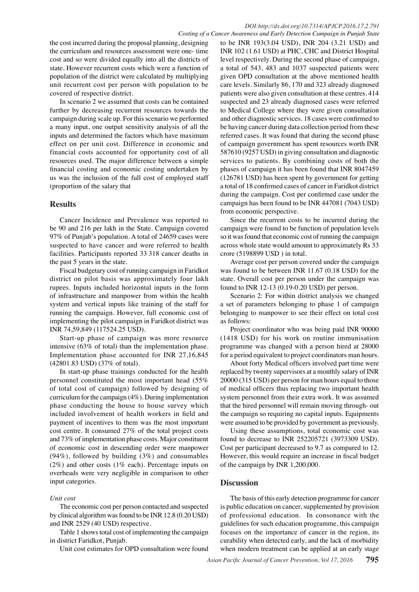the cost incurred during the proposal planning, designing the curriculum and resources assessment were one- time cost and so were divided equally into all the districts of state. However recurrent costs which were a function of population of the district were calculated by multiplying unit recurrent cost per person with population to be covered of respective district.

In scenario 2 we assumed that costs can be contained further by decreasing recurrent resources towards the campaign during scale up. For this scenario we performed a many input, one output sensitivity analysis of all the inputs and determined the factors which have maximum effect on per unit cost. Difference in economic and financial costs accounted for opportunity cost of all resources used. The major difference between a simple financial costing and economic costing undertaken by us was the inclusion of the full cost of employed staff (proportion of the salary that

## **Results**

Cancer Incidence and Prevalence was reported to be 90 and 216 per lakh in the State. Campaign covered 97% of Punjab's population. A total of 24659 cases were suspected to have cancer and were referred to health facilities. Participants reported 33 318 cancer deaths in the past 5 years in the state.

Fiscal budgetary cost of running campaign in Faridkot district on pilot basis was approximately four lakh rupees. Inputs included horizontal inputs in the form of infrastructure and manpower from within the health system and vertical inputs like training of the staff for running the campaign. However, full economic cost of implementing the pilot campaign in Faridkot district was INR 74,59,849 (117524.25 USD).

Start-up phase of campaign was more resource intensive (63% of total) than the implementation phase. Implementation phase accounted for INR 27,16,845 (42801.83 USD) (37% of total).

In start-up phase trainings conducted for the health personnel constituted the most important head (55% of total cost of campaign) followed by designing of curriculum for the campaign (4%). During implementation phase conducting the house to house survey which included involvement of health workers in field and payment of incentives to them was the most important cost centre. It consumed 27% of the total project costs and 73% of implementation phase costs. Major constituent of economic cost in descending order were manpower (94%), followed by building (3%) and consumables (2%) and other costs (1% each). Percentage inputs on overheads were very negligible in comparison to other input categories.

## *Unit cost*

The economic cost per person contacted and suspected by clinical algorithm was found to be INR 12.8 (0.20 USD) and INR 2529 (40 USD) respective.

Table 1 shows total cost of implementing the campaign in district Faridkot, Punjab.

Unit cost estimates for OPD consultation were found

to be INR 193(3.04 USD), INR 204 (3.21 USD) and INR 102 (1.61 USD) at PHC, CHC and District Hospital level respectively. During the second phase of campaign, a total of 543, 483 and 1037 suspected patients were given OPD consultation at the above mentioned health care levels. Similarly 86, 170 and 323 already diagnosed patients were also given consultation at these centres. 414 suspected and 23 already diagnosed cases were referred to Medical College where they were given consultation and other diagnostic services. 18 cases were confirmed to be having cancer during data collection period from these referred cases. It was found that during the second phase of campaign government has spent resources worth INR 587610 (9257 USD) in giving consultation and diagnostic services to patients. By combining costs of both the phases of campaign it has been found that INR 8047459 (126781 USD) has been spent by government for getting a total of 18 confirmed cases of cancer in Faridkot district during the campaign. Cost per confirmed case under the campaign has been found to be INR 447081 (7043 USD) from economic perspective.

Since the recurrent costs to be incurred during the campaign were found to be function of population levels so it was found that economic cost of running the campaign across whole state would amount to approximately Rs 33 crore (5198899 USD ) in total.

Average cost per person covered under the campaign was found to be between INR 11.67 (0.18 USD) for the state. Overall cost per person under the campaign was found to INR 12-13 (0.19-0.20 USD) per person.

Scenario 2: For within district analysis we changed a set of parameters belonging to phase 1 of campaign belonging to manpower to see their effect on total cost as follows:

Project coordinator who was being paid INR 90000 (1418 USD) for his work on routine immunisation programme was changed with a person hired at 28000 for a period equivalent to project coordinators man hours.

About forty Medical officers involved part time were replaced by twenty supervisors at a monthly salary of INR 20000 (315 USD) per person for man hours equal to those of medical officers thus replacing two important health system personnel from their extra work. It was assumed that the hired personnel will remain moving through- out the campaign so requiring no capital inputs. Equipments were assumed to be provided by government as previously.

Using these assumptions, total economic cost was found to decrease to INR 252205721 (3973309 USD). Cost per participant decreased to 9.7 as compared to 12. However, this would require an increase in fiscal budget of the campaign by INR 1,200,000.

## **Discussion**

The basis of this early detection programme for cancer is public education on cancer, supplemented by provision of professional education. In consonance with the guidelines for such education programme, this campaign focuses on the importance of cancer in the region, its curability when detected early, and the lack of morbidity when modern treatment can be applied at an early stage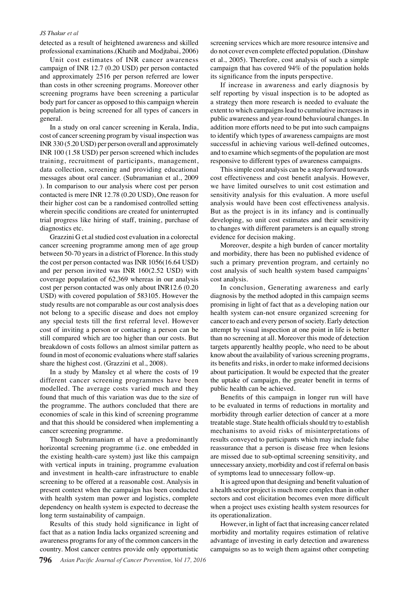#### *JS Thakur et al*

detected as a result of heightened awareness and skilled professional examinations.(Khatib and Modjtabai, 2006)

Unit cost estimates of INR cancer awareness campaign of INR 12.7 (0.20 USD) per person contacted and approximately 2516 per person referred are lower than costs in other screening programs. Moreover other screening programs have been screening a particular body part for cancer as opposed to this campaign wherein population is being screened for all types of cancers in general.

In a study on oral cancer screening in Kerala, India, cost of cancer screening program by visual inspection was INR 330 (5.20 USD) per person overall and approximately INR 100 (1.58 USD) per person screened which includes training, recruitment of participants, management, data collection, screening and providing educational messages about oral cancer. (Subramanian et al., 2009 ). In comparison to our analysis where cost per person contacted is mere INR 12.78 (0.20 USD), One reason for their higher cost can be a randomised controlled setting wherein specific conditions are created for uninterrupted trial progress like hiring of staff, training, purchase of diagnostics etc.

Grazzini G et.al studied cost evaluation in a colorectal cancer screening programme among men of age group between 50-70 years in a district of Florence. In this study the cost per person contacted was INR 1056(16.64 USD) and per person invited was INR 160(2.52 USD) with coverage population of 62,369 whereas in our analysis cost per person contacted was only about INR12.6 (0.20 USD) with covered population of 583105. However the study results are not comparable as our cost analysis does not belong to a specific disease and does not employ any special tests till the first referral level. However cost of inviting a person or contacting a person can be still compared which are too higher than our costs. But breakdown of costs follows an almost similar pattern as found in most of economic evaluations where staff salaries share the highest cost. (Grazzini et al., 2008).

In a study by Mansley et al where the costs of 19 different cancer screening programmes have been modelled. The average costs varied much and they found that much of this variation was due to the size of the programme. The authors concluded that there are economies of scale in this kind of screening programme and that this should be considered when implementing a cancer screening programme.

Though Subramaniam et al have a predominantly horizontal screening programme (i.e. one embedded in the existing health-care system) just like this campaign with vertical inputs in training, programme evaluation and investment in health-care infrastructure to enable screening to be offered at a reasonable cost. Analysis in present context when the campaign has been conducted with health system man power and logistics, complete dependency on health system is expected to decrease the long term sustainability of campaign.

Results of this study hold significance in light of fact that as a nation India lacks organized screening and awareness programs for any of the common cancers in the country. Most cancer centres provide only opportunistic

screening services which are more resource intensive and do not cover even complete effected population. (Dinshaw et al., 2005). Therefore, cost analysis of such a simple campaign that has covered 94% of the population holds its significance from the inputs perspective.

and to examine which segments of the population are most **75.0** addition more efforts need to be put into such campaign**t00.0** If increase in awareness and early diagnosis by self reporting by visual inspection is to be adopted as a strategy then more research is needed to evaluate the extent to which campaigns lead to cumulative increases in public awareness and year-round behavioural changes. In to identify which types of awareness campaigns are most successful in achieving various well-defined outcomes, responsive to different types of awareness campaigns.

0 0 But as the project is in its infancy and is continually<sub>25.0</sub> we have limited ourselves to unit cost estimation and 50.0 This simple cost analysis can be a step forward towards cost effectiveness and cost benefit analysis. However, sensitivity analysis for this evaluation. A more useful analysis would have been cost effectiveness analysis. developing, so unit cost estimates and their sensitivity to changes with different parameters is an equally strong evidence for decision making.

Moreover, despite a high burden of cancer mortality and morbidity, there has been no published evidence of such a primary prevention program, and certainly no cost analysis of such health system based campaigns' cost analysis.

In conclusion, Generating awareness and early diagnosis by the method adopted in this campaign seems promising in light of fact that as a developing nation our health system can-not ensure organized screening for cancer to each and every person of society. Early detection attempt by visual inspection at one point in life is better than no screening at all. Moreover this mode of detection targets apparently healthy people, who need to be about know about the availability of various screening programs, its benefits and risks, in order to make informed decisions about participation. It would be expected that the greater the uptake of campaign, the greater benefit in terms of public health can be achieved.

Benefits of this campaign in longer run will have to be evaluated in terms of reductions in mortality and morbidity through earlier detection of cancer at a more treatable stage. State health officials should try to establish mechanisms to avoid risks of misinterpretations of results conveyed to participants which may include false reassurance that a person is disease free when lesions are missed due to sub-optimal screening sensitivity, and unnecessary anxiety, morbidity and cost if referral on basis of symptoms lead to unnecessary follow-up.

It is agreed upon that designing and benefit valuation of a health sector project is much more complex than in other sectors and cost elicitation becomes even more difficult when a project uses existing health system resources for its operationalization.

However, in light of fact that increasing cancer related morbidity and mortality requires estimation of relative advantage of investing in early detection and awareness campaigns so as to weigh them against other competing